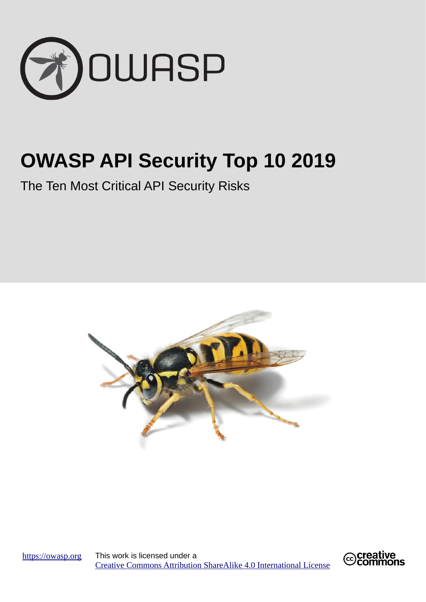

# **OWASP API Security Top 10 2019**

The Ten Most Critical API Security Risks



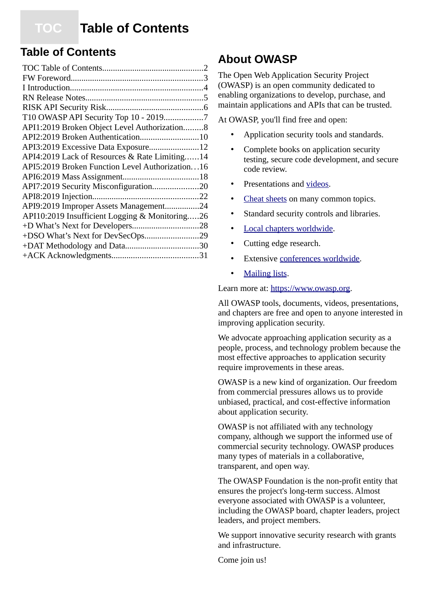## <span id="page-1-0"></span> **TOC Table of Contents**

### **Table of Contents**

| T10 OWASP API Security Top 10 - 20197           |  |
|-------------------------------------------------|--|
| API1:2019 Broken Object Level Authorization8    |  |
| API2:2019 Broken Authentication10               |  |
| API3:2019 Excessive Data Exposure12             |  |
| API4:2019 Lack of Resources & Rate Limiting14   |  |
| API5:2019 Broken Function Level Authorization16 |  |
|                                                 |  |
| API7:2019 Security Misconfiguration20           |  |
|                                                 |  |
| API9:2019 Improper Assets Management24          |  |
| API10:2019 Insufficient Logging & Monitoring26  |  |
|                                                 |  |
| +DSO What's Next for DevSecOps29                |  |
|                                                 |  |
|                                                 |  |

## **About OWASP**

The Open Web Application Security Project (OWASP) is an open community dedicated to enabling organizations to develop, purchase, and maintain applications and APIs that can be trusted.

At OWASP, you'll find free and open:

- Application security tools and standards.
- Complete books on application security testing, secure code development, and secure code review.
- Presentations and [videos](https://www.youtube.com/user/OWASPGLOBAL).
- Cheat sheets on many common topics.
- Standard security controls and libraries.
- Local chapters worldwide.
- Cutting edge research.
- Extensive [conferences worldwide.](https://www.owasp.org/index.php/Category:OWASP_AppSec_Conference)
- • [Mailing lists](https://lists.owasp.org/mailman/listinfo).

Learn more at: [https://www.owasp.org](https://owasp.org/).

All OWASP tools, documents, videos, presentations, and chapters are free and open to anyone interested in improving application security.

We advocate approaching application security as a people, process, and technology problem because the most effective approaches to application security require improvements in these areas.

OWASP is a new kind of organization. Our freedom from commercial pressures allows us to provide unbiased, practical, and cost-effective information about application security.

OWASP is not affiliated with any technology company, although we support the informed use of commercial security technology. OWASP produces many types of materials in a collaborative, transparent, and open way.

The OWASP Foundation is the non-profit entity that ensures the project's long-term success. Almost everyone associated with OWASP is a volunteer, including the OWASP board, chapter leaders, project leaders, and project members.

We support innovative security research with grants and infrastructure.

Come join us!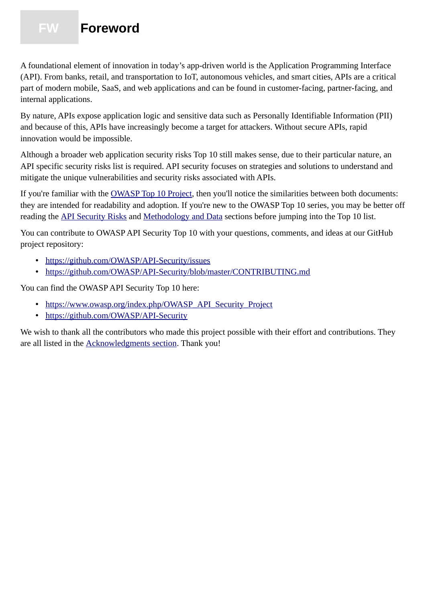## <span id="page-2-0"></span> **FW Foreword**

A foundational element of innovation in today's app-driven world is the Application Programming Interface (API). From banks, retail, and transportation to IoT, autonomous vehicles, and smart cities, APIs are a critical part of modern mobile, SaaS, and web applications and can be found in customer-facing, partner-facing, and internal applications.

By nature, APIs expose application logic and sensitive data such as Personally Identifiable Information (PII) and because of this, APIs have increasingly become a target for attackers. Without secure APIs, rapid innovation would be impossible.

Although a broader web application security risks Top 10 still makes sense, due to their particular nature, an API specific security risks list is required. API security focuses on strategies and solutions to understand and mitigate the unique vulnerabilities and security risks associated with APIs.

If you're familiar with the [OWASP Top 10 Project](https://www.owasp.org/index.php/Category:OWASP_Top_Ten_Project), then you'll notice the similarities between both documents: they are intended for readability and adoption. If you're new to the OWASP Top 10 series, you may be better off reading the [API Security Risks](#page-5-0) and [Methodology and Data](#page-29-0) sections before jumping into the Top 10 list.

You can contribute to OWASP API Security Top 10 with your questions, comments, and ideas at our GitHub project repository:

- •<https://github.com/OWASP/API-Security/issues>
- <https://github.com/OWASP/API-Security/blob/master/CONTRIBUTING.md>

You can find the OWASP API Security Top 10 here:

- • [https://www.owasp.org/index.php/OWASP\\_API\\_Security\\_Project](https://www.owasp.org/index.php/OWASP_API_Security_Project)
- <https://github.com/OWASP/API-Security>

We wish to thank all the contributors who made this project possible with their effort and contributions. They are all listed in the [Acknowledgments section](#page-30-0). Thank you!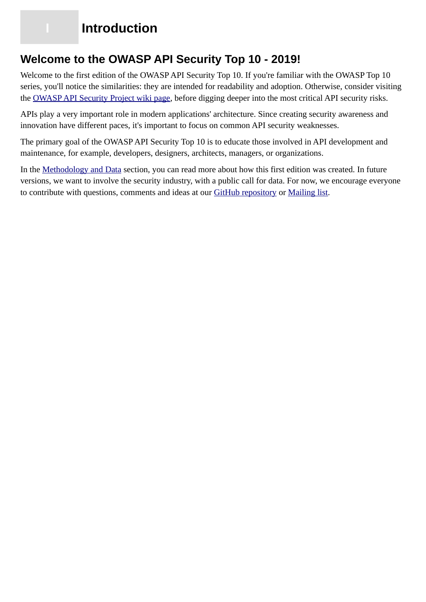## **Introduction**

### <span id="page-3-0"></span>**Welcome to the OWASP API Security Top 10 - 2019!**

Welcome to the first edition of the OWASP API Security Top 10. If you're familiar with the OWASP Top 10 series, you'll notice the similarities: they are intended for readability and adoption. Otherwise, consider visiting the [OWASP API Security Project wiki page](https://www.owasp.org/index.php/OWASP_API_Security_Project), before digging deeper into the most critical API security risks.

APIs play a very important role in modern applications' architecture. Since creating security awareness and innovation have different paces, it's important to focus on common API security weaknesses.

The primary goal of the OWASP API Security Top 10 is to educate those involved in API development and maintenance, for example, developers, designers, architects, managers, or organizations.

In the [Methodology and Data](#page-29-0) section, you can read more about how this first edition was created. In future versions, we want to involve the security industry, with a public call for data. For now, we encourage everyone to contribute with questions, comments and ideas at our [GitHub repository](https://github.com/OWASP/API-Security) or [Mailing list](https://groups.google.com/a/owasp.org/forum/#!forum/api-security-project).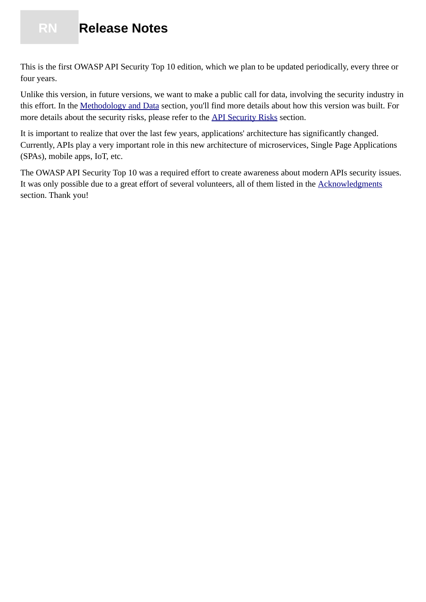## <span id="page-4-0"></span> **RN Release Notes**

This is the first OWASP API Security Top 10 edition, which we plan to be updated periodically, every three or four years.

Unlike this version, in future versions, we want to make a public call for data, involving the security industry in this effort. In the [Methodology and Data](#page-29-0) section, you'll find more details about how this version was built. For more details about the security risks, please refer to the [API Security Risks](#page-5-0) section.

It is important to realize that over the last few years, applications' architecture has significantly changed. Currently, APIs play a very important role in this new architecture of microservices, Single Page Applications (SPAs), mobile apps, IoT, etc.

The OWASP API Security Top 10 was a required effort to create awareness about modern APIs security issues. It was only possible due to a great effort of several volunteers, all of them listed in the [Acknowledgments](#page-30-0) section. Thank you!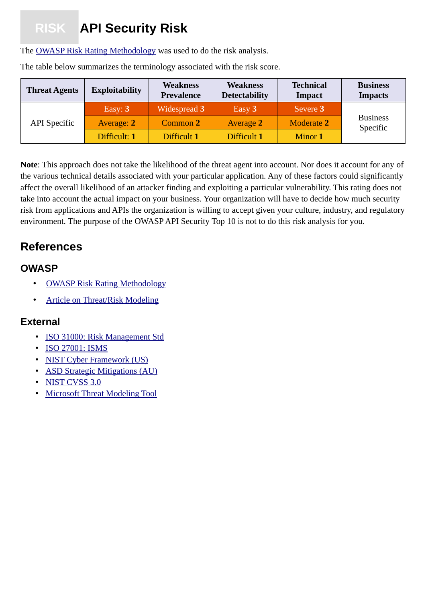# <span id="page-5-0"></span> **RISK API Security Risk**

The [OWASP Risk Rating Methodology](https://www.owasp.org/index.php/OWASP_Risk_Rating_Methodology) was used to do the risk analysis.

| <b>Threat Agents</b> | <b>Exploitability</b> | <b>Weakness</b><br><b>Prevalence</b> | <b>Weakness</b><br><b>Detectability</b> | <b>Technical</b><br><b>Impact</b> | <b>Business</b><br><b>Impacts</b> |
|----------------------|-----------------------|--------------------------------------|-----------------------------------------|-----------------------------------|-----------------------------------|
|                      | Easy: $3$             | Widespread 3                         | Easy 3                                  | Severe 3                          |                                   |
| <b>API</b> Specific  | Average: 2            | Common 2                             | <b>Average 2</b>                        | <b>Moderate 2</b>                 | <b>Business</b><br>Specific       |
|                      | Difficult: 1          | Difficult 1                          | Difficult 1                             | Minor 1                           |                                   |

The table below summarizes the terminology associated with the risk score.

**Note**: This approach does not take the likelihood of the threat agent into account. Nor does it account for any of the various technical details associated with your particular application. Any of these factors could significantly affect the overall likelihood of an attacker finding and exploiting a particular vulnerability. This rating does not take into account the actual impact on your business. Your organization will have to decide how much security risk from applications and APIs the organization is willing to accept given your culture, industry, and regulatory environment. The purpose of the OWASP API Security Top 10 is not to do this risk analysis for you.

## **References**

### **OWASP**

- • [OWASP Risk Rating Methodology](https://www.owasp.org/index.php/OWASP_Risk_Rating_Methodology)
- • [Article on Threat/Risk Modeling](https://www.owasp.org/index.php/Threat_Risk_Modeling)

- • [ISO 31000: Risk Management Std](https://www.iso.org/iso-31000-risk-management.html)
- • [ISO 27001: ISMS](https://www.iso.org/isoiec-27001-information-security.html)
- [NIST Cyber Framework \(US\)](https://www.nist.gov/cyberframework)
- [ASD Strategic Mitigations \(AU\)](https://www.asd.gov.au/infosec/mitigationstrategies.htm)
- • [NIST CVSS 3.0](https://nvd.nist.gov/vuln-metrics/cvss/v3-calculator)
- [Microsoft Threat Modeling Tool](https://www.microsoft.com/en-us/download/details.aspx?id=49168)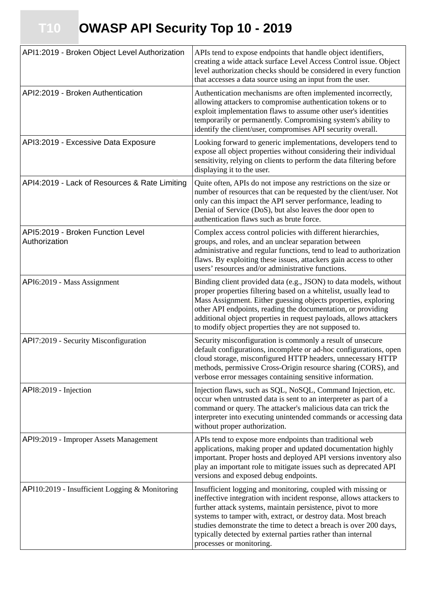<span id="page-6-0"></span> **T10 OWASP API Security Top 10 - 2019**

| API1:2019 - Broken Object Level Authorization      | APIs tend to expose endpoints that handle object identifiers,<br>creating a wide attack surface Level Access Control issue. Object<br>level authorization checks should be considered in every function<br>that accesses a data source using an input from the user.                                                                                                                                                                |
|----------------------------------------------------|-------------------------------------------------------------------------------------------------------------------------------------------------------------------------------------------------------------------------------------------------------------------------------------------------------------------------------------------------------------------------------------------------------------------------------------|
| API2:2019 - Broken Authentication                  | Authentication mechanisms are often implemented incorrectly,<br>allowing attackers to compromise authentication tokens or to<br>exploit implementation flaws to assume other user's identities<br>temporarily or permanently. Compromising system's ability to<br>identify the client/user, compromises API security overall.                                                                                                       |
| API3:2019 - Excessive Data Exposure                | Looking forward to generic implementations, developers tend to<br>expose all object properties without considering their individual<br>sensitivity, relying on clients to perform the data filtering before<br>displaying it to the user.                                                                                                                                                                                           |
| API4:2019 - Lack of Resources & Rate Limiting      | Quite often, APIs do not impose any restrictions on the size or<br>number of resources that can be requested by the client/user. Not<br>only can this impact the API server performance, leading to<br>Denial of Service (DoS), but also leaves the door open to<br>authentication flaws such as brute force.                                                                                                                       |
| API5:2019 - Broken Function Level<br>Authorization | Complex access control policies with different hierarchies,<br>groups, and roles, and an unclear separation between<br>administrative and regular functions, tend to lead to authorization<br>flaws. By exploiting these issues, attackers gain access to other<br>users' resources and/or administrative functions.                                                                                                                |
| API6:2019 - Mass Assignment                        | Binding client provided data (e.g., JSON) to data models, without<br>proper properties filtering based on a whitelist, usually lead to<br>Mass Assignment. Either guessing objects properties, exploring<br>other API endpoints, reading the documentation, or providing<br>additional object properties in request payloads, allows attackers<br>to modify object properties they are not supposed to.                             |
| API7:2019 - Security Misconfiguration              | Security misconfiguration is commonly a result of unsecure<br>default configurations, incomplete or ad-hoc configurations, open<br>cloud storage, misconfigured HTTP headers, unnecessary HTTP<br>methods, permissive Cross-Origin resource sharing (CORS), and<br>verbose error messages containing sensitive information.                                                                                                         |
| API8:2019 - Injection                              | Injection flaws, such as SQL, NoSQL, Command Injection, etc.<br>occur when untrusted data is sent to an interpreter as part of a<br>command or query. The attacker's malicious data can trick the<br>interpreter into executing unintended commands or accessing data<br>without proper authorization.                                                                                                                              |
| API9:2019 - Improper Assets Management             | APIs tend to expose more endpoints than traditional web<br>applications, making proper and updated documentation highly<br>important. Proper hosts and deployed API versions inventory also<br>play an important role to mitigate issues such as deprecated API<br>versions and exposed debug endpoints.                                                                                                                            |
| API10:2019 - Insufficient Logging & Monitoring     | Insufficient logging and monitoring, coupled with missing or<br>ineffective integration with incident response, allows attackers to<br>further attack systems, maintain persistence, pivot to more<br>systems to tamper with, extract, or destroy data. Most breach<br>studies demonstrate the time to detect a breach is over 200 days,<br>typically detected by external parties rather than internal<br>processes or monitoring. |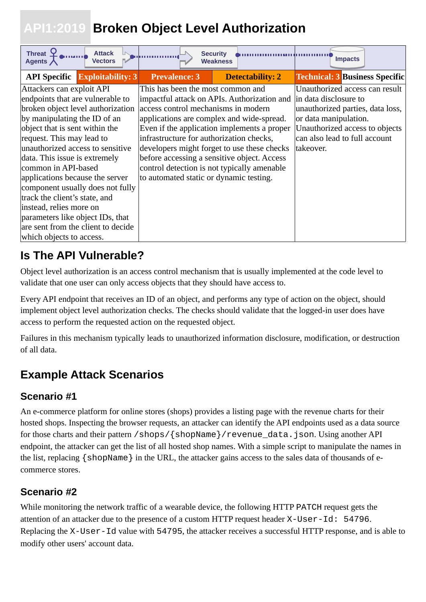## <span id="page-7-0"></span> **API1:2019 Broken Object Level Authorization**

| <b>Threat</b><br><b>Attack</b><br><b>Vectors</b><br>Agents / |                                             | <b>Security</b><br><b>Weakness</b> |                         | <b>Impacts</b>                                                    |  |
|--------------------------------------------------------------|---------------------------------------------|------------------------------------|-------------------------|-------------------------------------------------------------------|--|
| <b>API Specific Exploitability: 3</b>                        | <b>Prevalence: 3</b>                        |                                    | <b>Detectability: 2</b> | <b>Technical: 3 Business Specific</b>                             |  |
| Attackers can exploit API                                    | This has been the most common and           |                                    |                         | Unauthorized access can result                                    |  |
| endpoints that are vulnerable to                             |                                             |                                    |                         | impactful attack on APIs. Authorization and in data disclosure to |  |
| broken object level authorization                            | access control mechanisms in modern         |                                    |                         | unauthorized parties, data loss,                                  |  |
| by manipulating the ID of an                                 | applications are complex and wide-spread.   |                                    |                         | or data manipulation.                                             |  |
| object that is sent within the                               | Even if the application implements a proper |                                    |                         | Unauthorized access to objects                                    |  |
| request. This may lead to                                    | infrastructure for authorization checks,    |                                    |                         | can also lead to full account                                     |  |
| unauthorized access to sensitive                             | developers might forget to use these checks |                                    |                         | takeover.                                                         |  |
| data. This issue is extremely                                | before accessing a sensitive object. Access |                                    |                         |                                                                   |  |
| common in API-based                                          | control detection is not typically amenable |                                    |                         |                                                                   |  |
| applications because the server                              | to automated static or dynamic testing.     |                                    |                         |                                                                   |  |
| component usually does not fully                             |                                             |                                    |                         |                                                                   |  |
| track the client's state, and                                |                                             |                                    |                         |                                                                   |  |
| instead, relies more on                                      |                                             |                                    |                         |                                                                   |  |
| parameters like object IDs, that                             |                                             |                                    |                         |                                                                   |  |
| are sent from the client to decide                           |                                             |                                    |                         |                                                                   |  |
| which objects to access.                                     |                                             |                                    |                         |                                                                   |  |

## **Is The API Vulnerable?**

Object level authorization is an access control mechanism that is usually implemented at the code level to validate that one user can only access objects that they should have access to.

Every API endpoint that receives an ID of an object, and performs any type of action on the object, should implement object level authorization checks. The checks should validate that the logged-in user does have access to perform the requested action on the requested object.

Failures in this mechanism typically leads to unauthorized information disclosure, modification, or destruction of all data.

## **Example Attack Scenarios**

### **Scenario #1**

An e-commerce platform for online stores (shops) provides a listing page with the revenue charts for their hosted shops. Inspecting the browser requests, an attacker can identify the API endpoints used as a data source for those charts and their pattern /shops/{shopName}/revenue\_data.json. Using another API endpoint, the attacker can get the list of all hosted shop names. With a simple script to manipulate the names in the list, replacing {shopName} in the URL, the attacker gains access to the sales data of thousands of ecommerce stores.

### **Scenario #2**

While monitoring the network traffic of a wearable device, the following HTTP PATCH request gets the attention of an attacker due to the presence of a custom HTTP request header X-User-Id: 54796. Replacing the X-User-Id value with 54795, the attacker receives a successful HTTP response, and is able to modify other users' account data.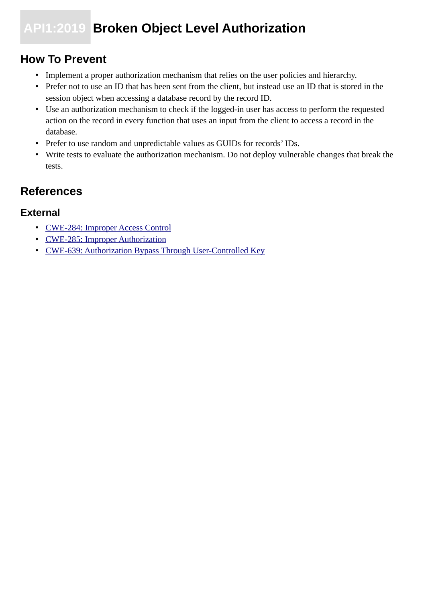## **API1:2019 Broken Object Level Authorization**

### **How To Prevent**

- Implement a proper authorization mechanism that relies on the user policies and hierarchy.
- Prefer not to use an ID that has been sent from the client, but instead use an ID that is stored in the session object when accessing a database record by the record ID.
- Use an authorization mechanism to check if the logged-in user has access to perform the requested action on the record in every function that uses an input from the client to access a record in the database.
- Prefer to use random and unpredictable values as GUIDs for records' IDs.
- Write tests to evaluate the authorization mechanism. Do not deploy vulnerable changes that break the tests.

## **References**

- • [CWE-284: Improper Access Control](https://cwe.mitre.org/data/definitions/284.html)
- [CWE-285: Improper Authorization](https://cwe.mitre.org/data/definitions/285.html)
- [CWE-639: Authorization Bypass Through User-Controlled Key](https://cwe.mitre.org/data/definitions/639.html)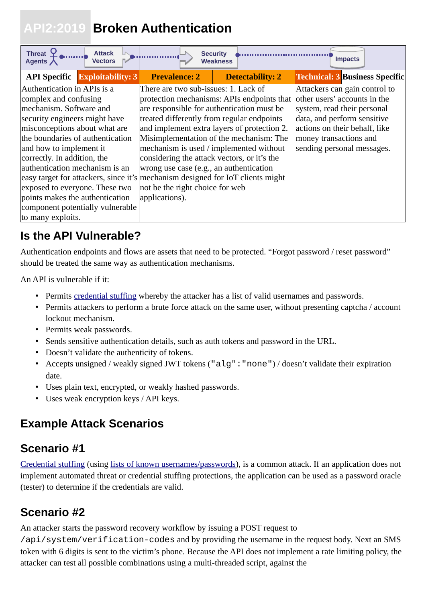## <span id="page-9-0"></span> **API2:2019 Broken Authentication**

| Threat $\mathbf{\Sigma}$<br><b>Attack</b><br><b>Vectors</b><br>Agents $\bigwedge$                                                                                                                                                                                             | <b>Security</b><br><b>Weakness</b>                                                                                                                                                                                                                                                                                  |                         | <b>Impacts</b>                                                                                                                                                                                                       |
|-------------------------------------------------------------------------------------------------------------------------------------------------------------------------------------------------------------------------------------------------------------------------------|---------------------------------------------------------------------------------------------------------------------------------------------------------------------------------------------------------------------------------------------------------------------------------------------------------------------|-------------------------|----------------------------------------------------------------------------------------------------------------------------------------------------------------------------------------------------------------------|
| <b>API Specific Exploitability: 3</b>                                                                                                                                                                                                                                         | <b>Prevalence: 2</b>                                                                                                                                                                                                                                                                                                | <b>Detectability: 2</b> | <b>Technical: 3 Business Specific</b>                                                                                                                                                                                |
| Authentication in APIs is a<br>complex and confusing<br>mechanism. Software and<br>security engineers might have<br>misconceptions about what are<br>the boundaries of authentication<br>and how to implement it                                                              | There are two sub-issues: 1. Lack of<br>protection mechanisms: APIs endpoints that<br>are responsible for authentication must be<br>treated differently from regular endpoints<br>and implement extra layers of protection 2.<br>Misimplementation of the mechanism: The<br>mechanism is used / implemented without |                         | Attackers can gain control to<br>other users' accounts in the<br>system, read their personal<br>data, and perform sensitive<br>actions on their behalf, like<br>money transactions and<br>sending personal messages. |
| correctly. In addition, the<br>authentication mechanism is an<br>easy target for attackers, since it's mechanism designed for IoT clients might<br>exposed to everyone. These two<br>points makes the authentication<br>component potentially vulnerable<br>to many exploits. | considering the attack vectors, or it's the<br>wrong use case (e.g., an authentication<br>not be the right choice for web<br>applications).                                                                                                                                                                         |                         |                                                                                                                                                                                                                      |

## **Is the API Vulnerable?**

Authentication endpoints and flows are assets that need to be protected. "Forgot password / reset password" should be treated the same way as authentication mechanisms.

An API is vulnerable if it:

- Permits [credential stuffing](https://www.owasp.org/index.php/Credential_stuffing) whereby the attacker has a list of valid usernames and passwords.
- Permits attackers to perform a brute force attack on the same user, without presenting captcha / account lockout mechanism.
- Permits weak passwords.
- Sends sensitive authentication details, such as auth tokens and password in the URL.
- Doesn't validate the authenticity of tokens.
- Accepts unsigned / weakly signed JWT tokens ("alg":"none") / doesn't validate their expiration date.
- Uses plain text, encrypted, or weakly hashed passwords.
- Uses weak encryption keys / API keys.

## **Example Attack Scenarios**

### **Scenario #1**

[Credential stuffing](https://www.owasp.org/index.php/Credential_stuffing) (using [lists of known usernames/passwords](https://github.com/danielmiessler/SecLists)), is a common attack. If an application does not implement automated threat or credential stuffing protections, the application can be used as a password oracle (tester) to determine if the credentials are valid.

## **Scenario #2**

An attacker starts the password recovery workflow by issuing a POST request to

/api/system/verification-codes and by providing the username in the request body. Next an SMS token with 6 digits is sent to the victim's phone. Because the API does not implement a rate limiting policy, the attacker can test all possible combinations using a multi-threaded script, against the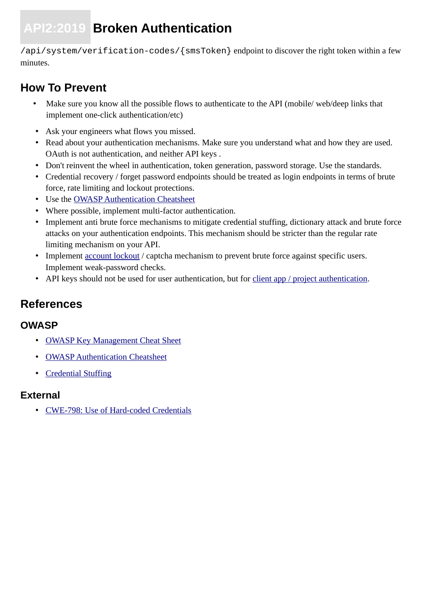# **API2:2019 Broken Authentication**

/api/system/verification-codes/{smsToken} endpoint to discover the right token within a few minutes.

### **How To Prevent**

- Make sure you know all the possible flows to authenticate to the API (mobile/ web/deep links that implement one-click authentication/etc)
- Ask your engineers what flows you missed.
- Read about your authentication mechanisms. Make sure you understand what and how they are used. OAuth is not authentication, and neither API keys .
- Don't reinvent the wheel in authentication, token generation, password storage. Use the standards.
- Credential recovery / forget password endpoints should be treated as login endpoints in terms of brute force, rate limiting and lockout protections.
- Use the [OWASP Authentication Cheatsheet](https://cheatsheetseries.owasp.org/cheatsheets/Authentication_Cheat_Sheet.html)
- Where possible, implement multi-factor authentication.
- Implement anti brute force mechanisms to mitigate credential stuffing, dictionary attack and brute force attacks on your authentication endpoints. This mechanism should be stricter than the regular rate limiting mechanism on your API.
- Implement [account lockout](https://www.owasp.org/index.php/Testing_for_Weak_lock_out_mechanism_(OTG-AUTHN-003)) / captcha mechanism to prevent brute force against specific users. Implement weak-password checks.
- API keys should not be used for user authentication, but for [client app / project authentication.](https://cloud.google.com/endpoints/docs/openapi/when-why-api-key)

## **References**

#### **OWASP**

- • [OWASP Key Management Cheat Sheet](https://www.owasp.org/index.php/Key_Management_Cheat_Sheet)
- • [OWASP Authentication Cheatsheet](https://cheatsheetseries.owasp.org/cheatsheets/Authentication_Cheat_Sheet.html)
- • [Credential Stuffing](https://www.owasp.org/index.php/Credential_stuffing)

#### **External**

• [CWE-798: Use of Hard-coded Credentials](https://cwe.mitre.org/data/definitions/798.html)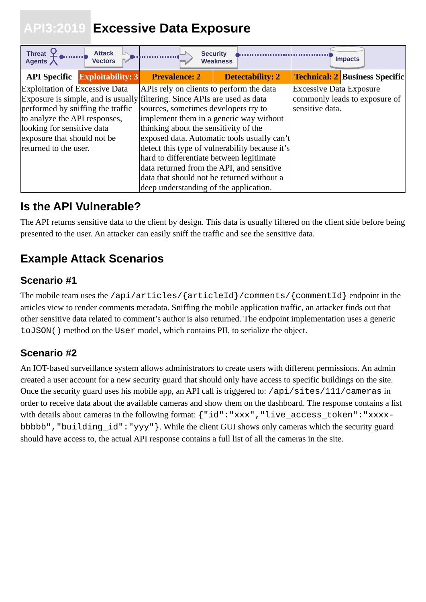## <span id="page-11-0"></span> **API3:2019 Excessive Data Exposure**

| Threat $\mathfrak{\mathfrak{L}}$<br><b>Attack</b><br><b>Vectors</b><br>Agents $\bigwedge$ | <b>Security</b>                            | <b>Weakness</b>                                |                                | <b>Impacts</b>                        |
|-------------------------------------------------------------------------------------------|--------------------------------------------|------------------------------------------------|--------------------------------|---------------------------------------|
| <b>API Specific Exploitability: 3</b>                                                     | <b>Prevalence: 2</b>                       | <b>Detectability: 2</b>                        |                                | <b>Technical: 2 Business Specific</b> |
| <b>Exploitation of Excessive Data</b>                                                     | APIs rely on clients to perform the data   |                                                | <b>Excessive Data Exposure</b> |                                       |
| Exposure is simple, and is usually filtering. Since APIs are used as data                 |                                            |                                                |                                | commonly leads to exposure of         |
| performed by sniffing the traffic                                                         | sources, sometimes developers try to       |                                                | sensitive data.                |                                       |
| to analyze the API responses,                                                             | implement them in a generic way without    |                                                |                                |                                       |
| looking for sensitive data                                                                | thinking about the sensitivity of the      |                                                |                                |                                       |
| exposure that should not be                                                               |                                            | exposed data. Automatic tools usually can't    |                                |                                       |
| returned to the user.                                                                     |                                            | detect this type of vulnerability because it's |                                |                                       |
|                                                                                           | hard to differentiate between legitimate   |                                                |                                |                                       |
|                                                                                           | data returned from the API, and sensitive  |                                                |                                |                                       |
|                                                                                           | data that should not be returned without a |                                                |                                |                                       |
|                                                                                           | deep understanding of the application.     |                                                |                                |                                       |

## **Is the API Vulnerable?**

The API returns sensitive data to the client by design. This data is usually filtered on the client side before being presented to the user. An attacker can easily sniff the traffic and see the sensitive data.

## **Example Attack Scenarios**

### **Scenario #1**

The mobile team uses the /api/articles/{articleId}/comments/{commentId} endpoint in the articles view to render comments metadata. Sniffing the mobile application traffic, an attacker finds out that other sensitive data related to comment's author is also returned. The endpoint implementation uses a generic toJSON() method on the User model, which contains PII, to serialize the object.

### **Scenario #2**

An IOT-based surveillance system allows administrators to create users with different permissions. An admin created a user account for a new security guard that should only have access to specific buildings on the site. Once the security guard uses his mobile app, an API call is triggered to: /api/sites/111/cameras in order to receive data about the available cameras and show them on the dashboard. The response contains a list with details about cameras in the following format: {"id":"xxx", "live\_access\_token":"xxxxbbbbb", "building id": "yyy"}. While the client GUI shows only cameras which the security guard should have access to, the actual API response contains a full list of all the cameras in the site.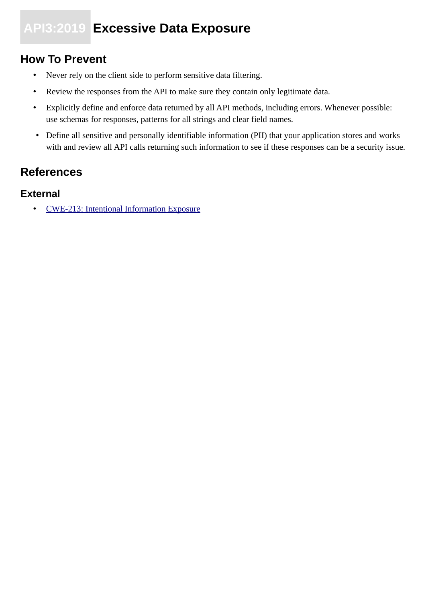## **API3:2019 Excessive Data Exposure**

## **How To Prevent**

- Never rely on the client side to perform sensitive data filtering.
- Review the responses from the API to make sure they contain only legitimate data.
- Explicitly define and enforce data returned by all API methods, including errors. Whenever possible: use schemas for responses, patterns for all strings and clear field names.
- Define all sensitive and personally identifiable information (PII) that your application stores and works with and review all API calls returning such information to see if these responses can be a security issue.

## **References**

#### **External**

• [CWE-213: Intentional Information Exposure](https://cwe.mitre.org/data/definitions/213.html)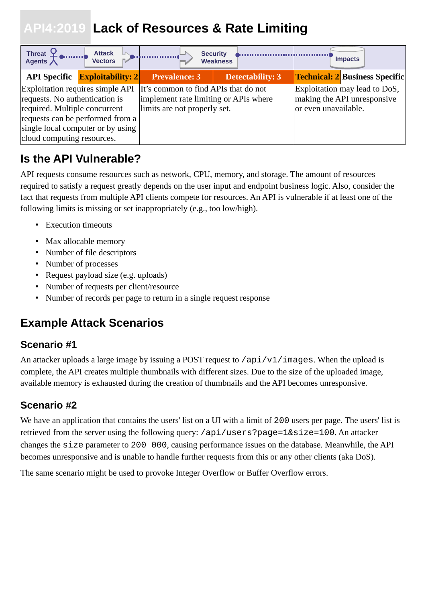## <span id="page-13-0"></span> **API4:2019 Lack of Resources & Rate Limiting**

| Threat P<br><b>Attack</b><br><b>Vectors</b>                                                                                                                                                                |                                                                                                               | <b>Security</b><br><b>Weakness</b> |                      | <b>Impacts</b>                                               |
|------------------------------------------------------------------------------------------------------------------------------------------------------------------------------------------------------------|---------------------------------------------------------------------------------------------------------------|------------------------------------|----------------------|--------------------------------------------------------------|
| <b>API Specific Exploitability: 2</b>                                                                                                                                                                      | Prevalence: 3                                                                                                 | <b>Detectability: 3</b>            |                      | <b>Technical: 2 Business Specific</b>                        |
| Exploitation requires simple API<br>requests. No authentication is<br>required. Multiple concurrent<br>requests can be performed from a<br>single local computer or by using<br>cloud computing resources. | It's common to find APIs that do not<br>implement rate limiting or APIs where<br>limits are not properly set. |                                    | or even unavailable. | Exploitation may lead to DoS,<br>making the API unresponsive |

## **Is the API Vulnerable?**

API requests consume resources such as network, CPU, memory, and storage. The amount of resources required to satisfy a request greatly depends on the user input and endpoint business logic. Also, consider the fact that requests from multiple API clients compete for resources. An API is vulnerable if at least one of the following limits is missing or set inappropriately (e.g., too low/high).

- Execution timeouts
- Max allocable memory
- Number of file descriptors
- Number of processes
- Request payload size (e.g. uploads)
- Number of requests per client/resource
- Number of records per page to return in a single request response

## **Example Attack Scenarios**

### **Scenario #1**

An attacker uploads a large image by issuing a POST request to /api/v1/images. When the upload is complete, the API creates multiple thumbnails with different sizes. Due to the size of the uploaded image, available memory is exhausted during the creation of thumbnails and the API becomes unresponsive.

### **Scenario #2**

We have an application that contains the users' list on a UI with a limit of 200 users per page. The users' list is retrieved from the server using the following query: /api/users?page=1&size=100. An attacker changes the size parameter to 200 000, causing performance issues on the database. Meanwhile, the API becomes unresponsive and is unable to handle further requests from this or any other clients (aka DoS).

The same scenario might be used to provoke Integer Overflow or Buffer Overflow errors.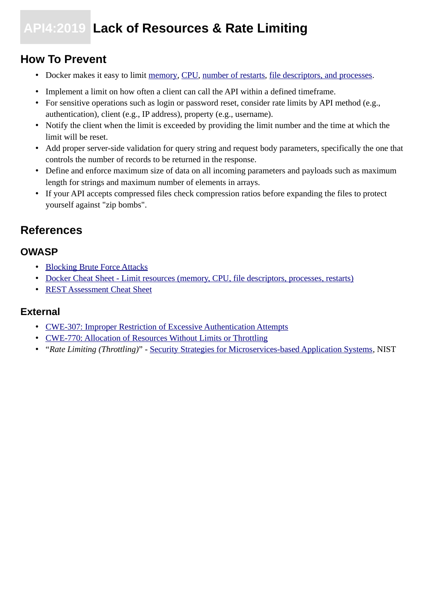## **API4:2019 Lack of Resources & Rate Limiting**

### **How To Prevent**

- Docker makes it easy to limit [memory,](https://docs.docker.com/config/containers/resource_constraints/#memory) [CPU](https://docs.docker.com/config/containers/resource_constraints/#cpu), [number of restarts](https://docs.docker.com/engine/reference/commandline/run/#restart-policies---restart), [file descriptors, and processes](https://docs.docker.com/engine/reference/commandline/run/#set-ulimits-in-container---ulimit).
- Implement a limit on how often a client can call the API within a defined timeframe.
- For sensitive operations such as login or password reset, consider rate limits by API method (e.g., authentication), client (e.g., IP address), property (e.g., username).
- Notify the client when the limit is exceeded by providing the limit number and the time at which the limit will be reset.
- Add proper server-side validation for query string and request body parameters, specifically the one that controls the number of records to be returned in the response.
- Define and enforce maximum size of data on all incoming parameters and payloads such as maximum length for strings and maximum number of elements in arrays.
- If your API accepts compressed files check compression ratios before expanding the files to protect yourself against "zip bombs".

### **References**

### **OWASP**

- • [Blocking Brute Force Attacks](https://www.owasp.org/index.php/Blocking_Brute_Force_Attacks)
- [Docker Cheat Sheet Limit resources \(memory, CPU, file descriptors, processes, restarts\)](https://github.com/OWASP/CheatSheetSeries/blob/3a8134d792528a775142471b1cb14433b4fda3fb/cheatsheets/Docker_Security_Cheat_Sheet.md#rule-7---limit-resources-memory-cpu-file-descriptors-processes-restarts)
- [REST Assessment Cheat Sheet](https://github.com/OWASP/CheatSheetSeries/blob/3a8134d792528a775142471b1cb14433b4fda3fb/cheatsheets/REST_Assessment_Cheat_Sheet.md)

- • [CWE-307: Improper Restriction of Excessive Authentication Attempts](https://cwe.mitre.org/data/definitions/307.html)
- [CWE-770: Allocation of Resources Without Limits or Throttling](https://cwe.mitre.org/data/definitions/770.html)
- "*Rate Limiting (Throttling)*" - [Security Strategies for Microservices-based Application Systems](https://nvlpubs.nist.gov/nistpubs/SpecialPublications/NIST.SP.800-204-draft.pdf), NIST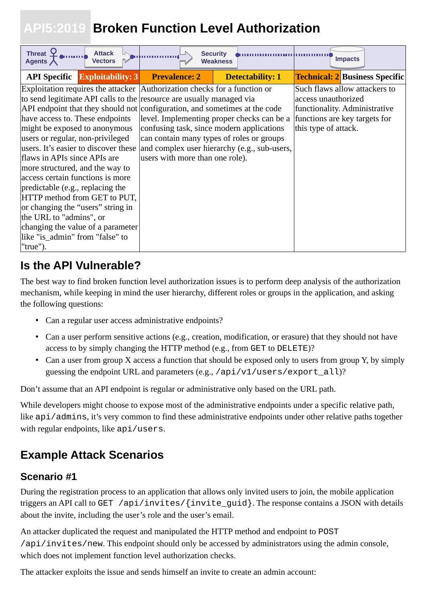## <span id="page-15-0"></span> **API5:2019 Broken Function Level Authorization**

| <b>Threat</b><br><b>Attack</b><br><b>Vectors</b><br>Agents $\lambda$                                                                                                                                                                                                                                                                                                                                                                                                                                                                                                                                                                                                                                           | <b>Security</b>                                                                                                           | <b>Weakness</b>                                                                            | <b>Impacts</b>                                                                                                                                 |
|----------------------------------------------------------------------------------------------------------------------------------------------------------------------------------------------------------------------------------------------------------------------------------------------------------------------------------------------------------------------------------------------------------------------------------------------------------------------------------------------------------------------------------------------------------------------------------------------------------------------------------------------------------------------------------------------------------------|---------------------------------------------------------------------------------------------------------------------------|--------------------------------------------------------------------------------------------|------------------------------------------------------------------------------------------------------------------------------------------------|
| <b>API Specific Exploitability: 3</b>                                                                                                                                                                                                                                                                                                                                                                                                                                                                                                                                                                                                                                                                          | <b>Prevalence: 2</b>                                                                                                      | <b>Detectability: 1</b>                                                                    | <b>Technical: 2 Business Specific</b>                                                                                                          |
| Exploitation requires the attacker Authorization checks for a function or<br>to send legitimate API calls to the resource are usually managed via<br>API endpoint that they should not configuration, and sometimes at the code<br>have access to. These endpoints<br>might be exposed to anonymous<br>users or regular, non-privileged<br>users. It's easier to discover these<br>flaws in APIs since APIs are<br>more structured, and the way to<br>access certain functions is more<br>predictable (e.g., replacing the<br>HTTP method from GET to PUT,<br>or changing the "users" string in<br>the URL to "admins", or<br>changing the value of a parameter<br>like "is_admin" from "false" to<br>"true"). | confusing task, since modern applications<br>can contain many types of roles or groups<br>users with more than one role). | level. Implementing proper checks can be a<br>and complex user hierarchy (e.g., sub-users, | Such flaws allow attackers to<br>access unauthorized<br>functionality. Administrative<br>functions are key targets for<br>this type of attack. |

## **Is the API Vulnerable?**

The best way to find broken function level authorization issues is to perform deep analysis of the authorization mechanism, while keeping in mind the user hierarchy, different roles or groups in the application, and asking the following questions:

- Can a regular user access administrative endpoints?
- Can a user perform sensitive actions (e.g., creation, modification, or erasure) that they should not have access to by simply changing the HTTP method (e.g., from GET to DELETE)?
- Can a user from group X access a function that should be exposed only to users from group Y, by simply guessing the endpoint URL and parameters (e.g., /api/v1/users/export\_all)?

Don't assume that an API endpoint is regular or administrative only based on the URL path.

While developers might choose to expose most of the administrative endpoints under a specific relative path, like api/admins, it's very common to find these administrative endpoints under other relative paths together with regular endpoints, like api/users.

## **Example Attack Scenarios**

### **Scenario #1**

During the registration process to an application that allows only invited users to join, the mobile application triggers an API call to GET /api/invites/{invite\_guid}. The response contains a JSON with details about the invite, including the user's role and the user's email.

An attacker duplicated the request and manipulated the HTTP method and endpoint to POST /api/invites/new. This endpoint should only be accessed by administrators using the admin console, which does not implement function level authorization checks.

The attacker exploits the issue and sends himself an invite to create an admin account: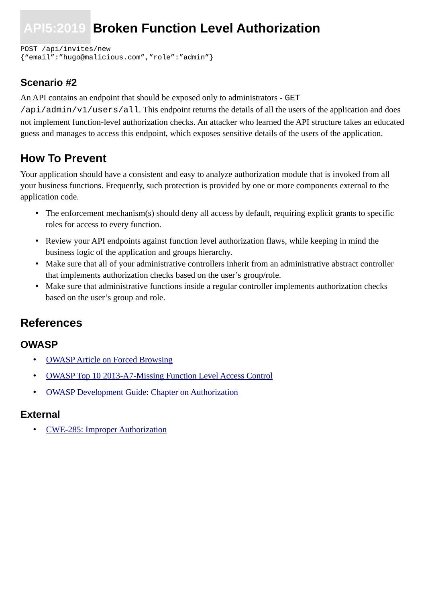## **API5:2019 Broken Function Level Authorization**

POST /api/invites/new {"email":"hugo@malicious.com","role":"admin"}

### **Scenario #2**

An API contains an endpoint that should be exposed only to administrators - GET

/api/admin/v1/users/all. This endpoint returns the details of all the users of the application and does not implement function-level authorization checks. An attacker who learned the API structure takes an educated guess and manages to access this endpoint, which exposes sensitive details of the users of the application.

### **How To Prevent**

Your application should have a consistent and easy to analyze authorization module that is invoked from all your business functions. Frequently, such protection is provided by one or more components external to the application code.

- The enforcement mechanism(s) should deny all access by default, requiring explicit grants to specific roles for access to every function.
- Review your API endpoints against function level authorization flaws, while keeping in mind the business logic of the application and groups hierarchy.
- Make sure that all of your administrative controllers inherit from an administrative abstract controller that implements authorization checks based on the user's group/role.
- Make sure that administrative functions inside a regular controller implements authorization checks based on the user's group and role.

### **References**

#### **OWASP**

- • [OWASP Article on Forced Browsing](https://www.owasp.org/index.php/Forced_browsing)
- [OWASP Top 10 2013-A7-Missing Function Level Access Control](https://www.owasp.org/index.php/Top_10_2013-A7-Missing_Function_Level_Access_Control)
- [OWASP Development Guide: Chapter on Authorization](https://www.owasp.org/index.php/Category:Access_Control)

#### **External**

• [CWE-285: Improper Authorization](https://cwe.mitre.org/data/definitions/285.html)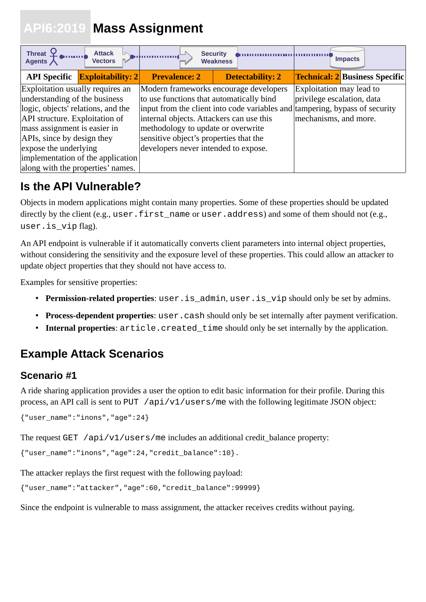## <span id="page-17-0"></span> **API6:2019 Mass Assignment**

| Threat $\mathcal{Q}$<br><b>Attack</b><br>ka mana d<br>Agents $\bigwedge$<br><b>Vectors</b>                        |                                          | <b>Security</b><br><b>Weakness</b>     | <b>Impacts</b>                        |
|-------------------------------------------------------------------------------------------------------------------|------------------------------------------|----------------------------------------|---------------------------------------|
| <b>API Specific Exploitability: 2</b>                                                                             | <b>Prevalence: 2</b>                     | <b>Detectability: 2</b>                | <b>Technical: 2 Business Specific</b> |
| Exploitation usually requires an                                                                                  |                                          | Modern frameworks encourage developers | Exploitation may lead to              |
| understanding of the business                                                                                     | to use functions that automatically bind |                                        | privilege escalation, data            |
| logic, objects' relations, and the<br>input from the client into code variables and tampering, bypass of security |                                          |                                        |                                       |
| API structure. Exploitation of                                                                                    | internal objects. Attackers can use this |                                        | mechanisms, and more.                 |
| mass assignment is easier in                                                                                      | methodology to update or overwrite       |                                        |                                       |
| APIs, since by design they                                                                                        | sensitive object's properties that the   |                                        |                                       |
| expose the underlying                                                                                             | developers never intended to expose.     |                                        |                                       |
| implementation of the application                                                                                 |                                          |                                        |                                       |
| along with the properties' names.                                                                                 |                                          |                                        |                                       |

## **Is the API Vulnerable?**

Objects in modern applications might contain many properties. Some of these properties should be updated directly by the client (e.g., user.first name or user.address) and some of them should not (e.g., user.is vip flag).

An API endpoint is vulnerable if it automatically converts client parameters into internal object properties, without considering the sensitivity and the exposure level of these properties. This could allow an attacker to update object properties that they should not have access to.

Examples for sensitive properties:

- **Permission-related properties**: user.is\_admin, user.is\_vip should only be set by admins.
- **Process-dependent properties**: user.cash should only be set internally after payment verification.
- **Internal properties**:  $article.create$   $time$  should only be set internally by the application.

## **Example Attack Scenarios**

### **Scenario #1**

A ride sharing application provides a user the option to edit basic information for their profile. During this process, an API call is sent to PUT /api/v1/users/me with the following legitimate JSON object:

{"user\_name":"inons","age":24}

The request GET /api/v1/users/me includes an additional credit balance property:

```
{"user_name":"inons","age":24,"credit_balance":10}.
```
The attacker replays the first request with the following payload:

```
{"user_name":"attacker","age":60,"credit_balance":99999}
```
Since the endpoint is vulnerable to mass assignment, the attacker receives credits without paying.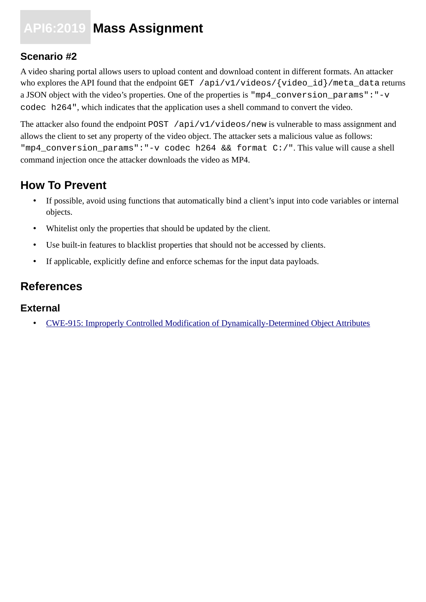## **API6:2019 Mass Assignment**

### **Scenario #2**

A video sharing portal allows users to upload content and download content in different formats. An attacker who explores the API found that the endpoint GET /api/v1/videos/{video\_id}/meta\_data returns a JSON object with the video's properties. One of the properties is "mp4\_conversion\_params":"-v codec h264", which indicates that the application uses a shell command to convert the video.

The attacker also found the endpoint POST /api/v1/videos/new is vulnerable to mass assignment and allows the client to set any property of the video object. The attacker sets a malicious value as follows: "mp4\_conversion\_params":"-v codec h264 && format C:/". This value will cause a shell command injection once the attacker downloads the video as MP4.

## **How To Prevent**

- If possible, avoid using functions that automatically bind a client's input into code variables or internal objects.
- Whitelist only the properties that should be updated by the client.
- Use built-in features to blacklist properties that should not be accessed by clients.
- If applicable, explicitly define and enforce schemas for the input data payloads.

### **References**

#### **External**

• [CWE-915: Improperly Controlled Modification of Dynamically-Determined Object Attributes](https://cwe.mitre.org/data/definitions/915.html)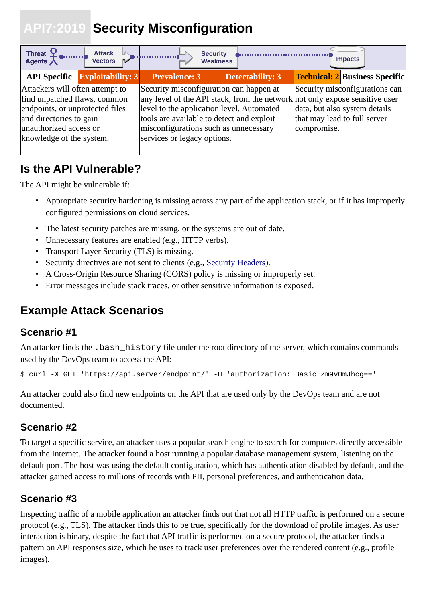## <span id="page-19-0"></span> **API7:2019 Security Misconfiguration**

| Threat $\frac{1}{2}$<br><b>Attack</b><br><b>Vectors</b>                                                                                                                             | <b>Security</b>                                                                                                                                                                                           | <b>Weakness</b>         | <b>Impacts</b>                                                                                                                                                                                |
|-------------------------------------------------------------------------------------------------------------------------------------------------------------------------------------|-----------------------------------------------------------------------------------------------------------------------------------------------------------------------------------------------------------|-------------------------|-----------------------------------------------------------------------------------------------------------------------------------------------------------------------------------------------|
| <b>API Specific Exploitability: 3</b>                                                                                                                                               | <b>Prevalence: 3</b>                                                                                                                                                                                      | <b>Detectability: 3</b> | <b>Technical: 2 Business Specific</b>                                                                                                                                                         |
| Attackers will often attempt to<br>find unpatched flaws, common<br>endpoints, or unprotected files<br>and directories to gain<br>unauthorized access or<br>knowledge of the system. | Security misconfiguration can happen at<br>level to the application level. Automated<br>tools are available to detect and exploit<br>misconfigurations such as unnecessary<br>services or legacy options. |                         | Security misconfigurations can<br>any level of the API stack, from the network not only expose sensitive user<br>data, but also system details<br>that may lead to full server<br>compromise. |

### **Is the API Vulnerable?**

The API might be vulnerable if:

- Appropriate security hardening is missing across any part of the application stack, or if it has improperly configured permissions on cloud services.
- The latest security patches are missing, or the systems are out of date.
- Unnecessary features are enabled (e.g., HTTP verbs).
- Transport Layer Security (TLS) is missing.
- Security directives are not sent to clients (e.g., [Security Headers](https://www.owasp.org/index.php/OWASP_Secure_Headers_Project)).
- A Cross-Origin Resource Sharing (CORS) policy is missing or improperly set.
- Error messages include stack traces, or other sensitive information is exposed.

## **Example Attack Scenarios**

#### **Scenario #1**

An attacker finds the .bash\_history file under the root directory of the server, which contains commands used by the DevOps team to access the API:

\$ curl -X GET 'https://api.server/endpoint/' -H 'authorization: Basic Zm9vOmJhcg=='

An attacker could also find new endpoints on the API that are used only by the DevOps team and are not documented.

### **Scenario #2**

To target a specific service, an attacker uses a popular search engine to search for computers directly accessible from the Internet. The attacker found a host running a popular database management system, listening on the default port. The host was using the default configuration, which has authentication disabled by default, and the attacker gained access to millions of records with PII, personal preferences, and authentication data.

### **Scenario #3**

Inspecting traffic of a mobile application an attacker finds out that not all HTTP traffic is performed on a secure protocol (e.g., TLS). The attacker finds this to be true, specifically for the download of profile images. As user interaction is binary, despite the fact that API traffic is performed on a secure protocol, the attacker finds a pattern on API responses size, which he uses to track user preferences over the rendered content (e.g., profile images).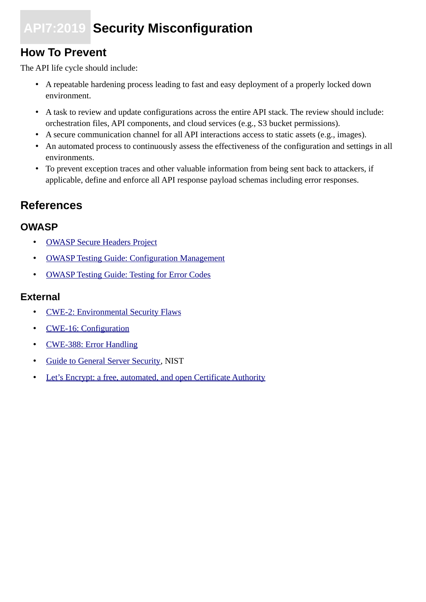## **API7:2019 Security Misconfiguration**

## **How To Prevent**

The API life cycle should include:

- A repeatable hardening process leading to fast and easy deployment of a properly locked down environment.
- A task to review and update configurations across the entire API stack. The review should include: orchestration files, API components, and cloud services (e.g., S3 bucket permissions).
- A secure communication channel for all API interactions access to static assets (e.g., images).
- An automated process to continuously assess the effectiveness of the configuration and settings in all environments.
- To prevent exception traces and other valuable information from being sent back to attackers, if applicable, define and enforce all API response payload schemas including error responses.

### **References**

#### **OWASP**

- • [OWASP Secure Headers Project](https://www.owasp.org/index.php/OWASP_Secure_Headers_Project)
- [OWASP Testing Guide: Configuration Management](https://www.owasp.org/index.php/Testing_for_configuration_management)
- [OWASP Testing Guide: Testing for Error Codes](https://www.owasp.org/index.php/Testing_for_Error_Code_(OTG-ERR-001))

- • [CWE-2: Environmental Security Flaws](https://cwe.mitre.org/data/definitions/2.html)
- • [CWE-16: Configuration](https://cwe.mitre.org/data/definitions/16.html)
- • [CWE-388: Error Handling](https://cwe.mitre.org/data/definitions/388.html)
- • [Guide to General Server Security](https://csrc.nist.gov/publications/detail/sp/800-123/final), NIST
- [Let's Encrypt: a free, automated, and open Certificate Authority](https://letsencrypt.org/)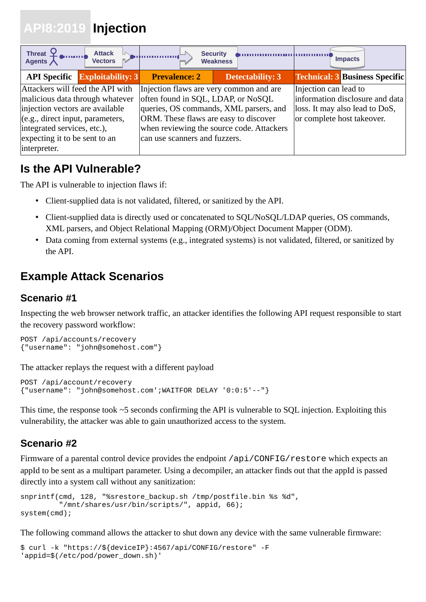## <span id="page-21-0"></span> **API8:2019 Injection**

| Threat $\begin{bmatrix} 1 & 1 \\ 1 & 1 \end{bmatrix}$<br><b>Attack</b><br><b>Vectors</b>                                                                                                                                   |                                                                                                                                                         | <b>Security</b><br><b>Weakness</b>                                                  | <b>Impacts</b>                                                                                                           |
|----------------------------------------------------------------------------------------------------------------------------------------------------------------------------------------------------------------------------|---------------------------------------------------------------------------------------------------------------------------------------------------------|-------------------------------------------------------------------------------------|--------------------------------------------------------------------------------------------------------------------------|
| <b>API Specific Exploitability: 3</b>                                                                                                                                                                                      | <b>Prevalence: 2</b>                                                                                                                                    | <b>Detectability: 3</b>                                                             | <b>Technical: 3 Business Specific</b>                                                                                    |
| Attackers will feed the API with<br>malicious data through whatever<br>injection vectors are available<br>(e.g., direct input, parameters,<br>integrated services, etc.),<br>expecting it to be sent to an<br>interpreter. | Injection flaws are very common and are<br>often found in SQL, LDAP, or NoSQL<br>ORM. These flaws are easy to discover<br>can use scanners and fuzzers. | queries, OS commands, XML parsers, and<br>when reviewing the source code. Attackers | Injection can lead to<br>information disclosure and data<br>loss. It may also lead to DoS,<br>or complete host takeover. |

## **Is the API Vulnerable?**

The API is vulnerable to injection flaws if:

- Client-supplied data is not validated, filtered, or sanitized by the API.
- Client-supplied data is directly used or concatenated to SQL/NoSQL/LDAP queries, OS commands, XML parsers, and Object Relational Mapping (ORM)/Object Document Mapper (ODM).
- Data coming from external systems (e.g., integrated systems) is not validated, filtered, or sanitized by the API.

## **Example Attack Scenarios**

### **Scenario #1**

Inspecting the web browser network traffic, an attacker identifies the following API request responsible to start the recovery password workflow:

```
POST /api/accounts/recovery
{"username": "john@somehost.com"}
```
The attacker replays the request with a different payload

```
POST /api/account/recovery
{"username": "john@somehost.com';WAITFOR DELAY '0:0:5'--"}
```
This time, the response took ~5 seconds confirming the API is vulnerable to SQL injection. Exploiting this vulnerability, the attacker was able to gain unauthorized access to the system.

### **Scenario #2**

Firmware of a parental control device provides the endpoint /api/CONFIG/restore which expects an appId to be sent as a multipart parameter. Using a decompiler, an attacker finds out that the appId is passed directly into a system call without any sanitization:

```
snprintf(cmd, 128, "%srestore_backup.sh /tmp/postfile.bin %s %d",
          "/mnt/shares/usr/bin/scripts/", appid, 66);
system(cmd);
```
The following command allows the attacker to shut down any device with the same vulnerable firmware:

```
$ curl -k "https://${deviceIP}:4567/api/CONFIG/restore" -F 
'appid=$(/etc/pod/power_down.sh)'
```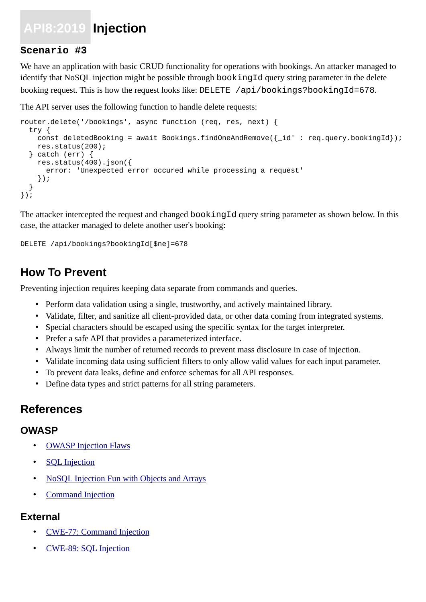## **API8:2019 Injection**

#### **Scenario #3**

We have an application with basic CRUD functionality for operations with bookings. An attacker managed to identify that NoSQL injection might be possible through bookingId query string parameter in the delete booking request. This is how the request looks like: DELETE /api/bookings?bookingId=678.

The API server uses the following function to handle delete requests:

```
router.delete('/bookings', async function (req, res, next) {
   try {
    const deletedBooking = await Bookings.findOneAndRemove(\{-id' : \text{req. query.}bookingId\});
     res.status(200);
   } catch (err) {
    res.status(400).json(\{ error: 'Unexpected error occured while processing a request'
     });
   }
});
```
The attacker intercepted the request and changed bookingId query string parameter as shown below. In this case, the attacker managed to delete another user's booking:

#### DELETE /api/bookings?bookingId[\$ne]=678

### **How To Prevent**

Preventing injection requires keeping data separate from commands and queries.

- Perform data validation using a single, trustworthy, and actively maintained library.
- Validate, filter, and sanitize all client-provided data, or other data coming from integrated systems.
- Special characters should be escaped using the specific syntax for the target interpreter.
- Prefer a safe API that provides a parameterized interface.
- Always limit the number of returned records to prevent mass disclosure in case of injection.
- Validate incoming data using sufficient filters to only allow valid values for each input parameter.
- To prevent data leaks, define and enforce schemas for all API responses.
- Define data types and strict patterns for all string parameters.

### **References**

#### **OWASP**

- **OWASP Injection Flaws**
- **SQL** Injection
- [NoSQL Injection Fun with Objects and Arrays](https://www.owasp.org/images/e/ed/GOD16-NOSQL.pdf)
- • [Command Injection](https://www.owasp.org/index.php/Command_Injection)

- • [CWE-77: Command Injection](https://cwe.mitre.org/data/definitions/77.html)
- • [CWE-89: SQL Injection](https://cwe.mitre.org/data/definitions/89.html)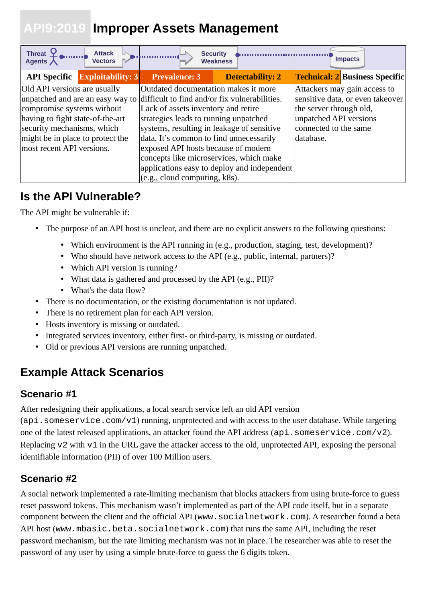## <span id="page-23-0"></span> **API9:2019 Improper Assets Management**

| Threat $\mathcal{Q}$<br><b>Attack</b><br><b>Vectors</b><br>Agents $\bigwedge$                                                                                                                                                                                                   |                                                                                                                                                                                                                                                                                                                                  | <b>Security</b><br><b>Weakness</b>          | <b>Impacts</b>                                                                                                                                              |
|---------------------------------------------------------------------------------------------------------------------------------------------------------------------------------------------------------------------------------------------------------------------------------|----------------------------------------------------------------------------------------------------------------------------------------------------------------------------------------------------------------------------------------------------------------------------------------------------------------------------------|---------------------------------------------|-------------------------------------------------------------------------------------------------------------------------------------------------------------|
| <b>API Specific Exploitability: 3</b>                                                                                                                                                                                                                                           | <b>Prevalence: 3</b>                                                                                                                                                                                                                                                                                                             | <b>Detectability: 2</b>                     | <b>Technical: 2 Business Specific</b>                                                                                                                       |
| Old API versions are usually<br>unpatched and are an easy way to difficult to find and/or fix vulnerabilities.<br>compromise systems without<br>having to fight state-of-the-art<br>security mechanisms, which<br>might be in place to protect the<br>most recent API versions. | Outdated documentation makes it more<br>Lack of assets inventory and retire<br>strategies leads to running unpatched<br>systems, resulting in leakage of sensitive<br>data. It's common to find unnecessarily<br>exposed API hosts because of modern<br>concepts like microservices, which make<br>(e.g., cloud computing, k8s). | applications easy to deploy and independent | Attackers may gain access to<br>sensitive data, or even takeover<br>the server through old,<br>unpatched API versions<br>connected to the same<br>database. |

## **Is the API Vulnerable?**

The API might be vulnerable if:

- The purpose of an API host is unclear, and there are no explicit answers to the following questions:
	- Which environment is the API running in (e.g., production, staging, test, development)?
	- Who should have network access to the API (e.g., public, internal, partners)?
	- Which API version is running?
	- What data is gathered and processed by the API (e.g., PII)?
	- What's the data flow?
- There is no documentation, or the existing documentation is not updated.
- There is no retirement plan for each API version.
- Hosts inventory is missing or outdated.
- Integrated services inventory, either first- or third-party, is missing or outdated.
- Old or previous API versions are running unpatched.

## **Example Attack Scenarios**

### **Scenario #1**

After redesigning their applications, a local search service left an old API version

(api.someservice.com/v1) running, unprotected and with access to the user database. While targeting one of the latest released applications, an attacker found the API address (api. someservice.com/v2). Replacing v2 with v1 in the URL gave the attacker access to the old, unprotected API, exposing the personal identifiable information (PII) of over 100 Million users.

### **Scenario #2**

A social network implemented a rate-limiting mechanism that blocks attackers from using brute-force to guess reset password tokens. This mechanism wasn't implemented as part of the API code itself, but in a separate component between the client and the official API (www.socialnetwork.com). A researcher found a beta API host (www.mbasic.beta.socialnetwork.com) that runs the same API, including the reset password mechanism, but the rate limiting mechanism was not in place. The researcher was able to reset the password of any user by using a simple brute-force to guess the 6 digits token.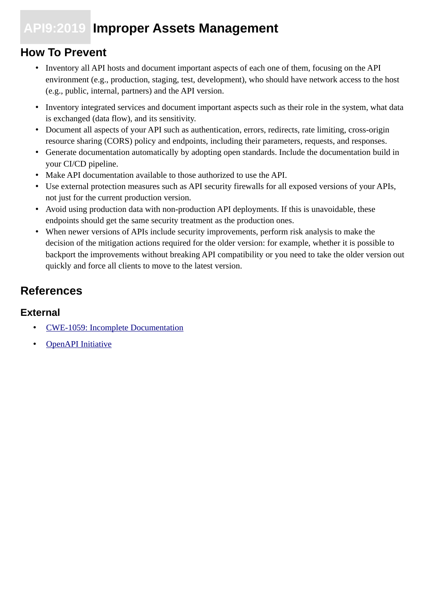## **API9:2019 Improper Assets Management**

## **How To Prevent**

- Inventory all API hosts and document important aspects of each one of them, focusing on the API environment (e.g., production, staging, test, development), who should have network access to the host (e.g., public, internal, partners) and the API version.
- Inventory integrated services and document important aspects such as their role in the system, what data is exchanged (data flow), and its sensitivity.
- Document all aspects of your API such as authentication, errors, redirects, rate limiting, cross-origin resource sharing (CORS) policy and endpoints, including their parameters, requests, and responses.
- Generate documentation automatically by adopting open standards. Include the documentation build in your CI/CD pipeline.
- Make API documentation available to those authorized to use the API.
- Use external protection measures such as API security firewalls for all exposed versions of your APIs, not just for the current production version.
- Avoid using production data with non-production API deployments. If this is unavoidable, these endpoints should get the same security treatment as the production ones.
- When newer versions of APIs include security improvements, perform risk analysis to make the decision of the mitigation actions required for the older version: for example, whether it is possible to backport the improvements without breaking API compatibility or you need to take the older version out quickly and force all clients to move to the latest version.

## **References**

- • [CWE-1059: Incomplete Documentation](https://cwe.mitre.org/data/definitions/1059.html)
- **OpenAPI** Initiative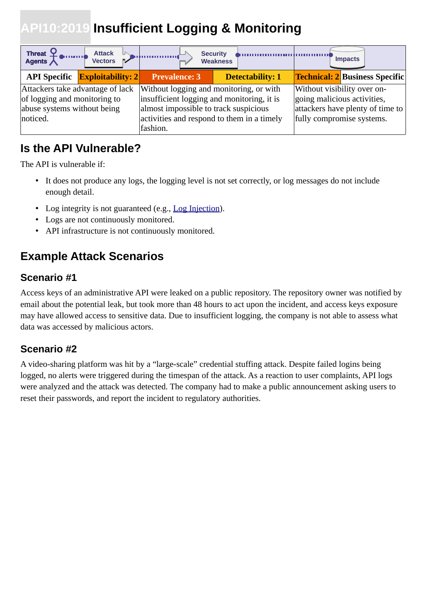## <span id="page-25-0"></span>**API10:2019 Insufficient Logging & Monitoring**

| Threat $\begin{bmatrix} 1 & 1 \\ 1 & 1 \end{bmatrix}$<br><b>Attack</b><br><b>Vectors</b>                    |                                                                                                                                            | <b>Security</b><br><b>Weakness</b>         | <b>Impacts</b>                                                                                                              |
|-------------------------------------------------------------------------------------------------------------|--------------------------------------------------------------------------------------------------------------------------------------------|--------------------------------------------|-----------------------------------------------------------------------------------------------------------------------------|
| <b>API Specific Exploitability: 2</b>                                                                       | <b>Prevalence: 3</b>                                                                                                                       | <b>Detectability: 1</b>                    | <b>Technical: 2 Business Specific</b>                                                                                       |
| Attackers take advantage of lack<br>of logging and monitoring to<br>abuse systems without being<br>noticed. | Without logging and monitoring, or with<br>insufficient logging and monitoring, it is<br>almost impossible to track suspicious<br>fashion. | activities and respond to them in a timely | Without visibility over on-<br>going malicious activities,<br>attackers have plenty of time to<br>fully compromise systems. |

## **Is the API Vulnerable?**

The API is vulnerable if:

- It does not produce any logs, the logging level is not set correctly, or log messages do not include enough detail.
- Log integrity is not guaranteed (e.g., [Log Injection](https://www.owasp.org/index.php/Log_Injection)).
- Logs are not continuously monitored.
- API infrastructure is not continuously monitored.

## **Example Attack Scenarios**

#### **Scenario #1**

Access keys of an administrative API were leaked on a public repository. The repository owner was notified by email about the potential leak, but took more than 48 hours to act upon the incident, and access keys exposure may have allowed access to sensitive data. Due to insufficient logging, the company is not able to assess what data was accessed by malicious actors.

### **Scenario #2**

A video-sharing platform was hit by a "large-scale" credential stuffing attack. Despite failed logins being logged, no alerts were triggered during the timespan of the attack. As a reaction to user complaints, API logs were analyzed and the attack was detected. The company had to make a public announcement asking users to reset their passwords, and report the incident to regulatory authorities.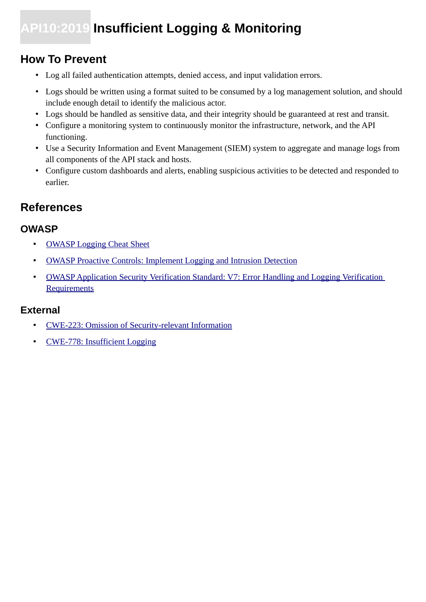## **API10:2019 Insufficient Logging & Monitoring**

## **How To Prevent**

- Log all failed authentication attempts, denied access, and input validation errors.
- Logs should be written using a format suited to be consumed by a log management solution, and should include enough detail to identify the malicious actor.
- Logs should be handled as sensitive data, and their integrity should be guaranteed at rest and transit.
- Configure a monitoring system to continuously monitor the infrastructure, network, and the API functioning.
- Use a Security Information and Event Management (SIEM) system to aggregate and manage logs from all components of the API stack and hosts.
- Configure custom dashboards and alerts, enabling suspicious activities to be detected and responded to earlier.

## **References**

### **OWASP**

- • [OWASP Logging Cheat Sheet](https://www.owasp.org/index.php/Logging_Cheat_Sheet)
- [OWASP Proactive Controls: Implement Logging and Intrusion Detection](https://www.owasp.org/index.php/OWASP_Proactive_Controls)
- OWASP Application Security Verification Standard: V7: Error Handling and Logging Verification **[Requirements](https://github.com/OWASP/ASVS/blob/master/4.0/en/0x15-V7-Error-Logging.md)**

- • [CWE-223: Omission of Security-relevant Information](https://cwe.mitre.org/data/definitions/223.html)
- • [CWE-778: Insufficient Logging](https://cwe.mitre.org/data/definitions/778.html)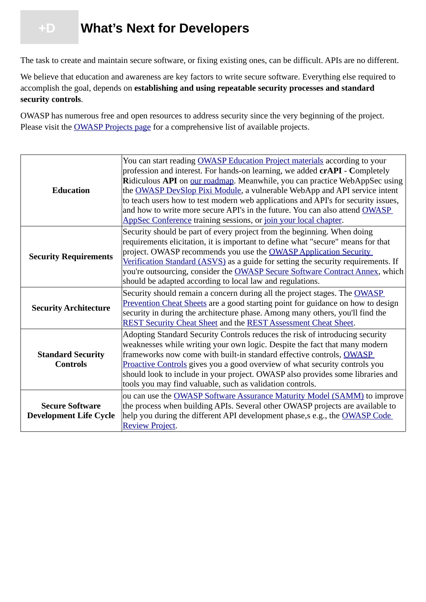## <span id="page-27-0"></span> **+D What's Next for Developers**

The task to create and maintain secure software, or fixing existing ones, can be difficult. APIs are no different.

We believe that education and awareness are key factors to write secure software. Everything else required to accomplish the goal, depends on **establishing and using repeatable security processes and standard security controls**.

OWASP has numerous free and open resources to address security since the very beginning of the project. Please visit the **OWASP** Projects page for a comprehensive list of available projects.

| <b>Education</b>                                        | You can start reading <b>OWASP</b> Education Project materials according to your<br>profession and interest. For hands-on learning, we added crAPI - Completely<br>Ridiculous API on our roadmap. Meanwhile, you can practice WebAppSec using<br>the <b>OWASP</b> DevSlop Pixi Module, a vulnerable WebApp and API service intent<br>to teach users how to test modern web applications and API's for security issues,<br>and how to write more secure API's in the future. You can also attend OWASP<br>AppSec Conference training sessions, or join your local chapter. |  |  |
|---------------------------------------------------------|---------------------------------------------------------------------------------------------------------------------------------------------------------------------------------------------------------------------------------------------------------------------------------------------------------------------------------------------------------------------------------------------------------------------------------------------------------------------------------------------------------------------------------------------------------------------------|--|--|
| <b>Security Requirements</b>                            | Security should be part of every project from the beginning. When doing<br>requirements elicitation, it is important to define what "secure" means for that<br>project. OWASP recommends you use the OWASP Application Security<br>Verification Standard (ASVS) as a guide for setting the security requirements. If<br>you're outsourcing, consider the <b>OWASP Secure Software Contract Annex</b> , which<br>should be adapted according to local law and regulations.                                                                                                 |  |  |
| <b>Security Architecture</b>                            | Security should remain a concern during all the project stages. The OWASP<br>Prevention Cheat Sheets are a good starting point for guidance on how to design<br>security in during the architecture phase. Among many others, you'll find the<br>REST Security Cheat Sheet and the REST Assessment Cheat Sheet.                                                                                                                                                                                                                                                           |  |  |
| <b>Standard Security</b><br><b>Controls</b>             | Adopting Standard Security Controls reduces the risk of introducing security<br>weaknesses while writing your own logic. Despite the fact that many modern<br>frameworks now come with built-in standard effective controls, OWASP<br><b>Proactive Controls gives you a good overview of what security controls you</b><br>should look to include in your project. OWASP also provides some libraries and<br>tools you may find valuable, such as validation controls.                                                                                                    |  |  |
| <b>Secure Software</b><br><b>Development Life Cycle</b> | ou can use the <b>OWASP</b> Software Assurance Maturity Model (SAMM) to improve<br>the process when building APIs. Several other OWASP projects are available to<br>help you during the different API development phase, s e.g., the OWASP Code<br><b>Review Project.</b>                                                                                                                                                                                                                                                                                                 |  |  |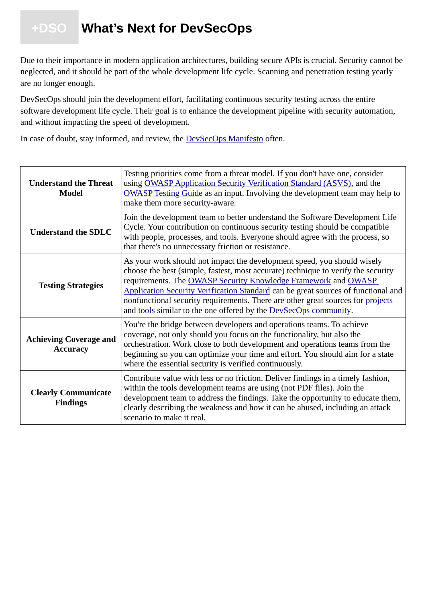## <span id="page-28-0"></span> **+DSO What's Next for DevSecOps**

Due to their importance in modern application architectures, building secure APIs is crucial. Security cannot be neglected, and it should be part of the whole development life cycle. Scanning and penetration testing yearly are no longer enough.

DevSecOps should join the development effort, facilitating continuous security testing across the entire software development life cycle. Their goal is to enhance the development pipeline with security automation, and without impacting the speed of development.

In case of doubt, stay informed, and review, the **DevSecOps Manifesto** often.

| <b>Understand the Threat</b><br><b>Model</b>     | Testing priorities come from a threat model. If you don't have one, consider<br>using OWASP Application Security Verification Standard (ASVS), and the<br><b>OWASP</b> Testing Guide as an input. Involving the development team may help to<br>make them more security-aware.                                                                                                                                                                                             |  |  |
|--------------------------------------------------|----------------------------------------------------------------------------------------------------------------------------------------------------------------------------------------------------------------------------------------------------------------------------------------------------------------------------------------------------------------------------------------------------------------------------------------------------------------------------|--|--|
| <b>Understand the SDLC</b>                       | Join the development team to better understand the Software Development Life<br>Cycle. Your contribution on continuous security testing should be compatible<br>with people, processes, and tools. Everyone should agree with the process, so<br>that there's no unnecessary friction or resistance.                                                                                                                                                                       |  |  |
| <b>Testing Strategies</b>                        | As your work should not impact the development speed, you should wisely<br>choose the best (simple, fastest, most accurate) technique to verify the security<br>requirements. The OWASP Security Knowledge Framework and OWASP<br>Application Security Verification Standard can be great sources of functional and<br>nonfunctional security requirements. There are other great sources for projects<br>and tools similar to the one offered by the DevSecOps community. |  |  |
| <b>Achieving Coverage and</b><br><b>Accuracy</b> | You're the bridge between developers and operations teams. To achieve<br>coverage, not only should you focus on the functionality, but also the<br>orchestration. Work close to both development and operations teams from the<br>beginning so you can optimize your time and effort. You should aim for a state<br>where the essential security is verified continuously.                                                                                                 |  |  |
| <b>Clearly Communicate</b><br><b>Findings</b>    | Contribute value with less or no friction. Deliver findings in a timely fashion,<br>within the tools development teams are using (not PDF files). Join the<br>development team to address the findings. Take the opportunity to educate them,<br>clearly describing the weakness and how it can be abused, including an attack<br>scenario to make it real.                                                                                                                |  |  |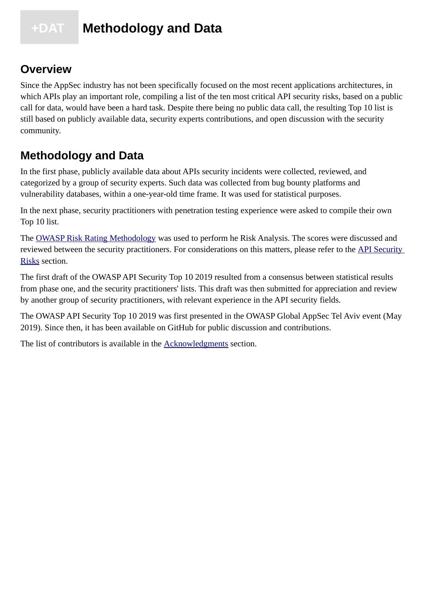## <span id="page-29-0"></span> **+DAT Methodology and Data**

### **Overview**

Since the AppSec industry has not been specifically focused on the most recent applications architectures, in which APIs play an important role, compiling a list of the ten most critical API security risks, based on a public call for data, would have been a hard task. Despite there being no public data call, the resulting Top 10 list is still based on publicly available data, security experts contributions, and open discussion with the security community.

## **Methodology and Data**

In the first phase, publicly available data about APIs security incidents were collected, reviewed, and categorized by a group of security experts. Such data was collected from bug bounty platforms and vulnerability databases, within a one-year-old time frame. It was used for statistical purposes.

In the next phase, security practitioners with penetration testing experience were asked to compile their own Top 10 list.

The [OWASP Risk Rating Methodology](https://www.owasp.org/index.php/OWASP_Risk_Rating_Methodology) was used to perform he Risk Analysis. The scores were discussed and reviewed between the security practitioners. For considerations on this matters, please refer to the API Security [Risks](#page-5-0) section.

The first draft of the OWASP API Security Top 10 2019 resulted from a consensus between statistical results from phase one, and the security practitioners' lists. This draft was then submitted for appreciation and review by another group of security practitioners, with relevant experience in the API security fields.

The OWASP API Security Top 10 2019 was first presented in the OWASP Global AppSec Tel Aviv event (May 2019). Since then, it has been available on GitHub for public discussion and contributions.

The list of contributors is available in the **Acknowledgments** section.